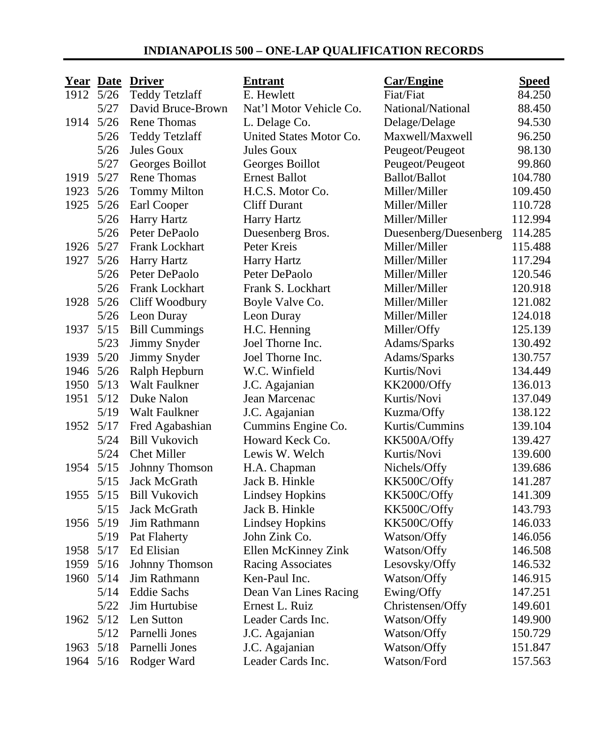## **INDIANAPOLIS 500 – ONE-LAP QUALIFICATION RECORDS**

|           |        | Year Date Driver      | <b>Entrant</b>           | <b>Car/Engine</b>     | <b>Speed</b> |
|-----------|--------|-----------------------|--------------------------|-----------------------|--------------|
| 1912 5/26 |        | <b>Teddy Tetzlaff</b> | E. Hewlett               | Fiat/Fiat             | 84.250       |
|           | 5/27   | David Bruce-Brown     | Nat'l Motor Vehicle Co.  | National/National     | 88.450       |
| 1914      | 5/26   | <b>Rene Thomas</b>    | L. Delage Co.            | Delage/Delage         | 94.530       |
|           | 5/26   | <b>Teddy Tetzlaff</b> | United States Motor Co.  | Maxwell/Maxwell       | 96.250       |
|           | 5/26   | Jules Goux            | Jules Goux               | Peugeot/Peugeot       | 98.130       |
|           | 5/27   | Georges Boillot       | Georges Boillot          | Peugeot/Peugeot       | 99.860       |
| 1919 5/27 |        | <b>Rene Thomas</b>    | <b>Ernest Ballot</b>     | Ballot/Ballot         | 104.780      |
| 1923      | 5/26   | <b>Tommy Milton</b>   | H.C.S. Motor Co.         | Miller/Miller         | 109.450      |
| 1925      | 5/26   | Earl Cooper           | <b>Cliff Durant</b>      | Miller/Miller         | 110.728      |
|           | $5/26$ | Harry Hartz           | Harry Hartz              | Miller/Miller         | 112.994      |
|           | 5/26   | Peter DePaolo         | Duesenberg Bros.         | Duesenberg/Duesenberg | 114.285      |
| 1926      | 5/27   | Frank Lockhart        | Peter Kreis              | Miller/Miller         | 115.488      |
| 1927      | 5/26   | Harry Hartz           | Harry Hartz              | Miller/Miller         | 117.294      |
|           | 5/26   | Peter DePaolo         | Peter DePaolo            | Miller/Miller         | 120.546      |
|           | 5/26   | Frank Lockhart        | Frank S. Lockhart        | Miller/Miller         | 120.918      |
| 1928      | $5/26$ | Cliff Woodbury        | Boyle Valve Co.          | Miller/Miller         | 121.082      |
|           | $5/26$ | Leon Duray            | Leon Duray               | Miller/Miller         | 124.018      |
| 1937      | $5/15$ | <b>Bill Cummings</b>  | H.C. Henning             | Miller/Offy           | 125.139      |
|           | 5/23   | Jimmy Snyder          | Joel Thorne Inc.         | Adams/Sparks          | 130.492      |
| 1939      | 5/20   | Jimmy Snyder          | Joel Thorne Inc.         | Adams/Sparks          | 130.757      |
| 1946 5/26 |        | Ralph Hepburn         | W.C. Winfield            | Kurtis/Novi           | 134.449      |
| 1950      | 5/13   | Walt Faulkner         | J.C. Agajanian           | KK2000/Offy           | 136.013      |
| 1951      | 5/12   | Duke Nalon            | Jean Marcenac            | Kurtis/Novi           | 137.049      |
|           | 5/19   | Walt Faulkner         | J.C. Agajanian           | Kuzma/Offy            | 138.122      |
| 1952 5/17 |        | Fred Agabashian       | Cummins Engine Co.       | Kurtis/Cummins        | 139.104      |
|           | 5/24   | <b>Bill Vukovich</b>  | Howard Keck Co.          | KK500A/Offy           | 139.427      |
|           | 5/24   | <b>Chet Miller</b>    | Lewis W. Welch           | Kurtis/Novi           | 139.600      |
| 1954 5/15 |        | Johnny Thomson        | H.A. Chapman             | Nichels/Offy          | 139.686      |
|           | 5/15   | Jack McGrath          | Jack B. Hinkle           | KK500C/Offy           | 141.287      |
| 1955      | 5/15   | <b>Bill Vukovich</b>  | <b>Lindsey Hopkins</b>   | KK500C/Offy           | 141.309      |
|           | 5/15   | Jack McGrath          | Jack B. Hinkle           | KK500C/Offy           | 143.793      |
| 1956 5/19 |        | Jim Rathmann          | <b>Lindsey Hopkins</b>   | KK500C/Offy           | 146.033      |
|           | 5/19   | Pat Flaherty          | John Zink Co.            | Watson/Offy           | 146.056      |
| 1958      | 5/17   | Ed Elisian            | Ellen McKinney Zink      | Watson/Offy           | 146.508      |
| 1959 5/16 |        | Johnny Thomson        | <b>Racing Associates</b> | Lesovsky/Offy         | 146.532      |
| 1960      | 5/14   | Jim Rathmann          | Ken-Paul Inc.            | Watson/Offy           | 146.915      |
|           | 5/14   | <b>Eddie Sachs</b>    | Dean Van Lines Racing    | Ewing/Offy            | 147.251      |
|           | 5/22   | Jim Hurtubise         | Ernest L. Ruiz           | Christensen/Offy      | 149.601      |
| 1962 5/12 |        | Len Sutton            | Leader Cards Inc.        | Watson/Offy           | 149.900      |
|           | 5/12   | Parnelli Jones        | J.C. Agajanian           | Watson/Offy           | 150.729      |
| 1963      | 5/18   | Parnelli Jones        | J.C. Agajanian           | Watson/Offy           | 151.847      |
| 1964      | 5/16   | Rodger Ward           | Leader Cards Inc.        | Watson/Ford           | 157.563      |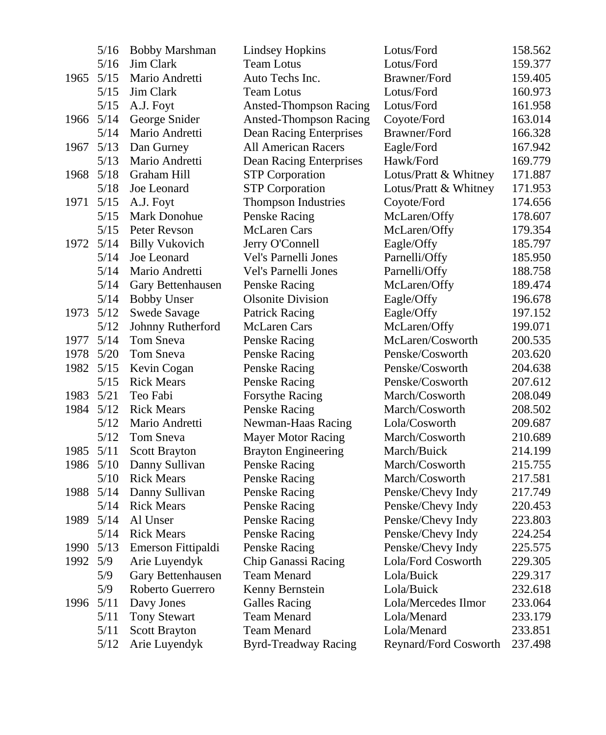|           | 5/16      | <b>Bobby Marshman</b> | <b>Lindsey Hopkins</b>        | Lotus/Ford            | 158.562 |
|-----------|-----------|-----------------------|-------------------------------|-----------------------|---------|
|           | $5/16$    | Jim Clark             | <b>Team Lotus</b>             | Lotus/Ford            | 159.377 |
| 1965      | 5/15      | Mario Andretti        | Auto Techs Inc.               | Brawner/Ford          | 159.405 |
|           | 5/15      | Jim Clark             | <b>Team Lotus</b>             | Lotus/Ford            | 160.973 |
|           | $5/15$    | A.J. Foyt             | <b>Ansted-Thompson Racing</b> | Lotus/Ford            | 161.958 |
| 1966 5/14 |           | George Snider         | <b>Ansted-Thompson Racing</b> | Coyote/Ford           | 163.014 |
|           | 5/14      | Mario Andretti        | Dean Racing Enterprises       | Brawner/Ford          | 166.328 |
| 1967      | 5/13      | Dan Gurney            | All American Racers           | Eagle/Ford            | 167.942 |
|           | 5/13      | Mario Andretti        | Dean Racing Enterprises       | Hawk/Ford             | 169.779 |
| 1968      | 5/18      | Graham Hill           | <b>STP</b> Corporation        | Lotus/Pratt & Whitney | 171.887 |
|           | 5/18      | Joe Leonard           | <b>STP</b> Corporation        | Lotus/Pratt & Whitney | 171.953 |
| 1971      | 5/15      | A.J. Foyt             | <b>Thompson Industries</b>    | Coyote/Ford           | 174.656 |
|           | 5/15      | Mark Donohue          | Penske Racing                 | McLaren/Offy          | 178.607 |
|           | 5/15      | Peter Revson          | McLaren Cars                  | McLaren/Offy          | 179.354 |
| 1972      | $5/14$    | <b>Billy Vukovich</b> | Jerry O'Connell               | Eagle/Offy            | 185.797 |
|           | 5/14      | Joe Leonard           | Vel's Parnelli Jones          | Parnelli/Offy         | 185.950 |
|           | 5/14      | Mario Andretti        | Vel's Parnelli Jones          | Parnelli/Offy         | 188.758 |
|           | 5/14      | Gary Bettenhausen     | Penske Racing                 | McLaren/Offy          | 189.474 |
|           | 5/14      | <b>Bobby Unser</b>    | <b>Olsonite Division</b>      | Eagle/Offy            | 196.678 |
| 1973      | 5/12      | Swede Savage          | <b>Patrick Racing</b>         | Eagle/Offy            | 197.152 |
|           | 5/12      | Johnny Rutherford     | McLaren Cars                  | McLaren/Offy          | 199.071 |
| 1977      | 5/14      | Tom Sneva             | Penske Racing                 | McLaren/Cosworth      | 200.535 |
|           | 1978 5/20 | Tom Sneva             | Penske Racing                 | Penske/Cosworth       | 203.620 |
| 1982 5/15 |           | Kevin Cogan           | Penske Racing                 | Penske/Cosworth       | 204.638 |
|           | 5/15      | <b>Rick Mears</b>     | Penske Racing                 | Penske/Cosworth       | 207.612 |
| 1983      | 5/21      | Teo Fabi              | Forsythe Racing               | March/Cosworth        | 208.049 |
| 1984 5/12 |           | <b>Rick Mears</b>     | Penske Racing                 | March/Cosworth        | 208.502 |
|           | 5/12      | Mario Andretti        | Newman-Haas Racing            | Lola/Cosworth         | 209.687 |
|           | 5/12      | Tom Sneva             | <b>Mayer Motor Racing</b>     | March/Cosworth        | 210.689 |
| 1985      | 5/11      | Scott Brayton         | <b>Brayton Engineering</b>    | March/Buick           | 214.199 |
| 1986 5/10 |           | Danny Sullivan        | Penske Racing                 | March/Cosworth        | 215.755 |
|           | 5/10      | <b>Rick Mears</b>     | Penske Racing                 | March/Cosworth        | 217.581 |
| 1988      | 5/14      | Danny Sullivan        | Penske Racing                 | Penske/Chevy Indy     | 217.749 |
|           | 5/14      | <b>Rick Mears</b>     | Penske Racing                 | Penske/Chevy Indy     | 220.453 |
| 1989      | $5/14$    | Al Unser              | Penske Racing                 | Penske/Chevy Indy     | 223.803 |
|           | 5/14      | <b>Rick Mears</b>     | Penske Racing                 | Penske/Chevy Indy     | 224.254 |
| 1990      | 5/13      | Emerson Fittipaldi    | Penske Racing                 | Penske/Chevy Indy     | 225.575 |
| 1992      | 5/9       | Arie Luyendyk         | Chip Ganassi Racing           | Lola/Ford Cosworth    | 229.305 |
|           | 5/9       | Gary Bettenhausen     | <b>Team Menard</b>            | Lola/Buick            | 229.317 |
|           | 5/9       | Roberto Guerrero      | Kenny Bernstein               | Lola/Buick            | 232.618 |
| 1996      | 5/11      | Davy Jones            | <b>Galles Racing</b>          | Lola/Mercedes Ilmor   | 233.064 |
|           | 5/11      | <b>Tony Stewart</b>   | Team Menard                   | Lola/Menard           | 233.179 |
|           | 5/11      | <b>Scott Brayton</b>  | Team Menard                   | Lola/Menard           | 233.851 |
|           | 5/12      | Arie Luyendyk         | <b>Byrd-Treadway Racing</b>   | Reynard/Ford Cosworth | 237.498 |